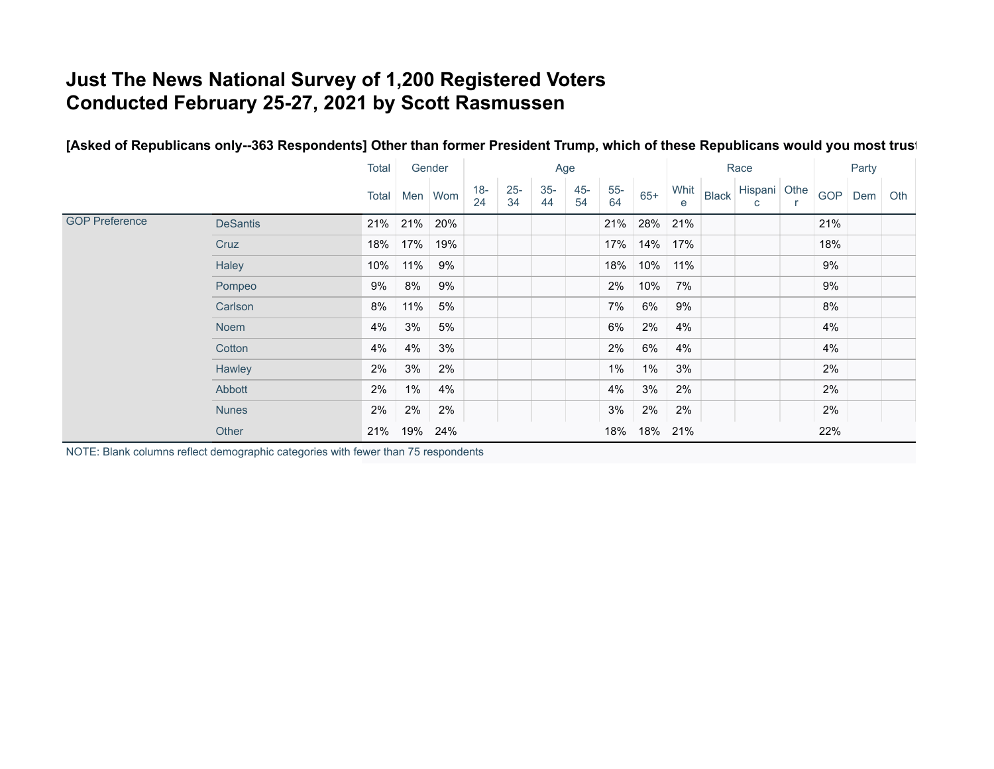## **Just The News National Survey of 1,200 Registered Voters Conducted February 25-27, 2021 by Scott Rasmussen**

## [Asked of Republicans only--363 Respondents] Other than former President Trump, which of these Republicans would you most trust

|                       |                 | Total |               | Age<br>Gender |              |              |             | Race         |             |       |     | Party |                              |  |            |     |     |
|-----------------------|-----------------|-------|---------------|---------------|--------------|--------------|-------------|--------------|-------------|-------|-----|-------|------------------------------|--|------------|-----|-----|
|                       |                 |       | Total Men Wom |               | $18 -$<br>24 | $25 -$<br>34 | $35-$<br>44 | $45 -$<br>54 | $55-$<br>64 | $65+$ | e   |       | Whit Black Hispani Othe<br>C |  | <b>GOP</b> | Dem | Oth |
| <b>GOP Preference</b> | <b>DeSantis</b> |       | 21% 21%       | 20%           |              |              |             |              | 21%         | 28%   | 21% |       |                              |  | 21%        |     |     |
|                       | Cruz            | 18%   | 17%           | 19%           |              |              |             |              | 17%         | 14%   | 17% |       |                              |  | 18%        |     |     |
|                       | Haley           | 10%   | 11%           | 9%            |              |              |             |              | 18%         | 10%   | 11% |       |                              |  | 9%         |     |     |
|                       | Pompeo          | 9%    | 8%            | 9%            |              |              |             |              | $2\%$       | 10%   | 7%  |       |                              |  | 9%         |     |     |
|                       | Carlson         | 8%    | 11%           | 5%            |              |              |             |              | 7%          | 6%    | 9%  |       |                              |  | $8\%$      |     |     |
|                       | Noem            | 4%    | 3%            | 5%            |              |              |             |              | 6%          | 2%    | 4%  |       |                              |  | 4%         |     |     |
|                       | Cotton          | 4%    | 4%            | 3%            |              |              |             |              | 2%          | 6%    | 4%  |       |                              |  | 4%         |     |     |
|                       | Hawley          | 2%    | 3%            | 2%            |              |              |             |              | $1\%$       | $1\%$ | 3%  |       |                              |  | 2%         |     |     |
|                       | Abbott          | 2%    | $1\%$         | 4%            |              |              |             |              | 4%          | 3%    | 2%  |       |                              |  | 2%         |     |     |
|                       | <b>Nunes</b>    | 2%    | 2%            | 2%            |              |              |             |              | 3%          | 2%    | 2%  |       |                              |  | 2%         |     |     |
|                       | Other           | 21%   | 19%           | 24%           |              |              |             |              | 18%         | 18%   | 21% |       |                              |  | 22%        |     |     |

NOTE: Blank columns reflect demographic categories with fewer than 75 respondents